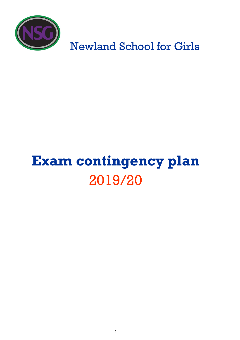

Newland School for Girls

# **Exam contingency plan** 2019/20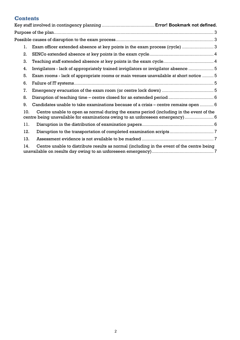# **Contents**

| 1.  | Exam officer extended absence at key points in the exam process (cycle) 3                                                                                               |
|-----|-------------------------------------------------------------------------------------------------------------------------------------------------------------------------|
| 2.  |                                                                                                                                                                         |
| 3.  |                                                                                                                                                                         |
| 4.  | Invigilators - lack of appropriately trained invigilators or invigilator absence  5                                                                                     |
| 5.  | Exam rooms - lack of appropriate rooms or main venues unavailable at short notice  5                                                                                    |
| 6.  |                                                                                                                                                                         |
| 7.  |                                                                                                                                                                         |
| 8.  |                                                                                                                                                                         |
| 9.  | Candidates unable to take examinations because of a crisis – centre remains open  6                                                                                     |
| 10. | Centre unable to open as normal during the exams period (including in the event of the<br>centre being unavailable for examinations owing to an unforeseen emergency) 6 |
| 11. |                                                                                                                                                                         |
| 12. |                                                                                                                                                                         |
| 13. |                                                                                                                                                                         |
| 14. | Centre unable to distribute results as normal (including in the event of the centre being                                                                               |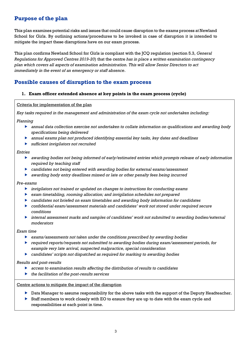# **Purpose of the plan**

This plan examines potential risks and issues that could cause disruption to the exams process at Newland School for Girls. By outlining actions/procedures to be invoked in case of disruption it is intended to mitigate the impact these disruptions have on our exam process.

This plan confirms Newland School for Girls is compliant with the JCQ regulation (section 5.3, *General Regulations for Approved Centres 2019-20*) that the centre *has in place a written examination contingency plan which covers all aspects of examination administration. This will allow Senior Directors to act immediately in the event of an emergency or staff absence*.

# **Possible causes of disruption to the exam process**

#### **1. Exam officer extended absence at key points in the exam process (cycle)**

#### Criteria for implementation of the plan

*Key tasks required in the management and administration of the exam cycle not undertaken including:*

*Planning*

- *annual data collection exercise not undertaken to collate information on qualifications and awarding body specifications being delivered*
- *annual exams plan not produced identifying essential key tasks, key dates and deadlines*
- *sufficient invigilators not recruited*

#### *Entries*

- *awarding bodies not being informed of early/estimated entries which prompts release of early information required by teaching staff*
- *candidates not being entered with awarding bodies for external exams/assessment*
- *awarding body entry deadlines missed or late or other penalty fees being incurred*

*Pre-exams*

- *invigilators not trained or updated on changes to instructions for conducting exams*
- *exam timetabling, rooming allocation; and invigilation schedules not prepared*
- *candidates not briefed on exam timetables and awarding body information for candidates*
- *confidential exam/assessment materials and candidates' work not stored under required secure conditions*
- *internal assessment marks and samples of candidates' work not submitted to awarding bodies/external moderators*

#### *Exam time*

- *exams/assessments not taken under the conditions prescribed by awarding bodies*
- *required reports/requests not submitted to awarding bodies during exam/assessment periods, for example very late arrival, suspected malpractice, special consideration*
- *candidates' scripts not dispatched as required for marking to awarding bodies*

#### *Results and post-results*

- *access to examination results affecting the distribution of results to candidates*
- *the facilitation of the post-results services*

Centre actions to mitigate the impact of the disruption

- **Data Manager to assume responsibility for the above tasks with the support of the Deputy Headteacher.**
- $\triangleright$  Staff members to work closely with EO to ensure they are up to date with the exam cycle and responsibilities at each point in time.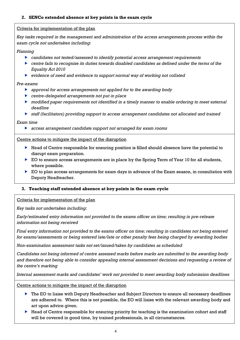#### Criteria for implementation of the plan

*Key tasks required in the management and administration of the access arrangements process within the exam cycle not undertaken including:*

#### *Planning*

- *candidates not tested/assessed to identify potential access arrangement requirements*
- *centre fails to recognise its duties towards disabled candidates as defined under the terms of the Equality Act 2010*
- *evidence of need and evidence to support normal way of working not collated*

#### *Pre-exams*

- *approval for access arrangements not applied for to the awarding body*
- *centre-delegated arrangements not put in place*
- *modified paper requirements not identified in a timely manner to enable ordering to meet external deadline*
- *staff (facilitators) providing support to access arrangement candidates not allocated and trained*

#### *Exam time*

*access arrangement candidate support not arranged for exam rooms*

#### Centre actions to mitigate the impact of the disruption

- Head of Centre responsible for ensuring position is filled should absence have the potential to disrupt exam preparation.
- ▶ EO to ensure access arrangements are in place by the Spring Term of Year 10 for all students, where possible.
- ▶ EO to plan access arrangements for exam days in advance of the Exam season, in consultation with Deputy Headteacher.

# **3. Teaching staff extended absence at key points in the exam cycle**

#### Criteria for implementation of the plan

*Key tasks not undertaken including:*

*Early/estimated entry information not provided to the exams officer on time; resulting in pre-release information not being received*

*Final entry information not provided to the exams officer on time; resulting in candidates not being entered for exams/assessments or being entered late/late or other penalty fees being charged by awarding bodies*

*Non-examination assessment tasks not set/issued/taken by candidates as scheduled*

*Candidates not being informed of centre assessed marks before marks are submitted to the awarding body and therefore not being able to consider appealing internal assessment decisions and requesting a review of the centre's marking*

*Internal assessment marks and candidates' work not provided to meet awarding body submission deadlines*

Centre actions to mitigate the impact of the disruption

- ▶ The EO to liaise with Deputy Headteacher and Subject Directors to ensure all necessary deadlines are adhered to. Where this is not possible, the EO will liaise with the relevant awarding body and act upon advice given.
- $\blacktriangleright$  Head of Centre responsible for ensuring priority for teaching is the examination cohort and staff will be covered in good time, by trained professionals, in all circumstances.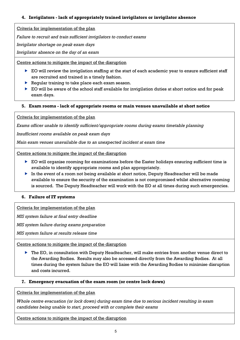## **4. Invigilators - lack of appropriately trained invigilators or invigilator absence**

Criteria for implementation of the plan

*Failure to recruit and train sufficient invigilators to conduct exams*

*Invigilator shortage on peak exam days*

*Invigilator absence on the day of an exam*

Centre actions to mitigate the impact of the disruption

- EO will review the invigilation staffing at the start of each academic year to ensure sufficient staff are recruited and trained in a timely fashion.
- Regular training to take place each exam season.
- $\triangleright$  EO will be aware of the school staff available for invigilation duties at short notice and for peak exam days.

#### **5. Exam rooms - lack of appropriate rooms or main venues unavailable at short notice**

Criteria for implementation of the plan

*Exams officer unable to identify sufficient/appropriate rooms during exams timetable planning*

*Insufficient rooms available on peak exam days*

*Main exam venues unavailable due to an unexpected incident at exam time*

Centre actions to mitigate the impact of the disruption

- $\triangleright$  EO will organise rooming for examinations before the Easter holidays ensuring sufficient time is available to identify appropriate rooms and plan appropriately.
- In the event of a room not being available at short notice, Deputy Headteacher will be made available to ensure the security of the examination is not compromised whilst alternative rooming is sourced. The Deputy Headteacher will work with the EO at all times during such emergencies.

**6. Failure of IT systems**

Criteria for implementation of the plan

*MIS system failure at final entry deadline*

*MIS system failure during exams preparation*

*MIS system failure at results release time*

Centre actions to mitigate the impact of the disruption

▶ The EO, in consultation with Deputy Headteacher, will make entries from another venue direct to the Awarding Bodies. Results may also be accessed directly from the Awarding Bodies. At all times during the system failure the EO will liaise with the Awarding Bodies to minimise disruption and costs incurred.

#### **7. Emergency evacuation of the exam room (or centre lock down)**

Criteria for implementation of the plan

*Whole centre evacuation (or lock down) during exam time due to serious incident resulting in exam candidates being unable to start, proceed with or complete their exams*

Centre actions to mitigate the impact of the disruption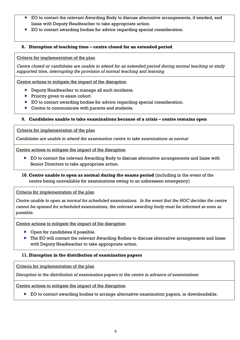- EO to contact the relevant Awarding Body to discuss alternative arrangements, if needed, and liaise with Deputy Headteacher to take appropriate action.
- ▶ EO to contact awarding bodies for advice regarding special consideration.

#### **8. Disruption of teaching time – centre closed for an extended period**

Criteria for implementation of the plan

*Centre closed or candidates are unable to attend for an extended period during normal teaching or study supported time, interrupting the provision of normal teaching and learning*

Centre actions to mitigate the impact of the disruption

- **Deputy Headteacher to manage all such incidents.**
- $\blacktriangleright$  Priority given to exam cohort.
- ▶ EO to contact awarding bodies for advice regarding special consideration.
- ▶ Centre to communicate with parents and students.

## **9. Candidates unable to take examinations because of a crisis – centre remains open**

Criteria for implementation of the plan

*Candidates are unable to attend the examination centre to take examinations as normal*

Centre actions to mitigate the impact of the disruption

- ▶ EO to contact the relevant Awarding Body to discuss alternative arrangements and liaise with Senior Directors to take appropriate action.
- **10. Centre unable to open as normal during the exams period** (including in the event of the centre being unavailable for examinations owing to an unforeseen emergency)

Criteria for implementation of the plan

*Centre unable to open as normal for scheduled examinations. In the event that the HOC decides the centre cannot be opened for scheduled examinations, the relevant awarding body must be informed as soon as possible.* 

Centre actions to mitigate the impact of the disruption

- ▶ Open for candidates if possible.
- ▶ The EO will contact the relevant Awarding Bodies to discuss alternative arrangements and liaise with Deputy Headteacher to take appropriate action.

# **11. Disruption in the distribution of examination papers**

Criteria for implementation of the plan

*Disruption to the distribution of examination papers to the centre in advance of examinations*

Centre actions to mitigate the impact of the disruption

EO to contact awarding bodies to arrange alternative examination papers, ie downloadable.